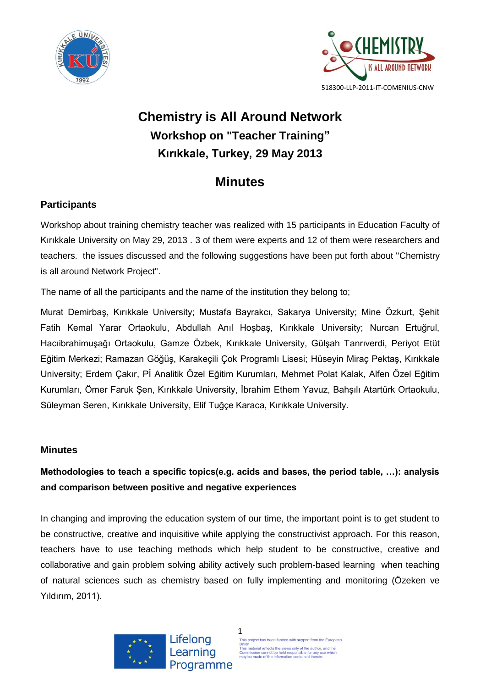



# **Chemistry is All Around Network Workshop on "Teacher Training" Kırıkkale, Turkey, 29 May 2013**

## **Minutes**

### **Participants**

Workshop about training chemistry teacher was realized with 15 participants in Education Faculty of Kırıkkale University on May 29, 2013 . 3 of them were experts and 12 of them were researchers and teachers. the issues discussed and the following suggestions have been put forth about "Chemistry is all around Network Project".

The name of all the participants and the name of the institution they belong to;

Murat Demirbaş, Kırıkkale University; Mustafa Bayrakcı, Sakarya University; Mine Özkurt, Şehit Fatih Kemal Yarar Ortaokulu, Abdullah Anıl Hoşbaş, Kırıkkale University; Nurcan Ertuğrul, Hacıibrahimuşağı Ortaokulu, Gamze Özbek, Kırıkkale University, Gülşah Tanrıverdi, Periyot Etüt Eğitim Merkezi; Ramazan Göğüş, Karakeçili Çok Programlı Lisesi; Hüseyin Miraç Pektaş, Kırıkkale University; Erdem Çakır, Pİ Analitik Özel Eğitim Kurumları, Mehmet Polat Kalak, Alfen Özel Eğitim Kurumları, Ömer Faruk Şen, Kırıkkale University, İbrahim Ethem Yavuz, Bahşılı Atartürk Ortaokulu, Süleyman Seren, Kırıkkale University, Elif Tuğçe Karaca, Kırıkkale University.

### **Minutes**

### **Methodologies to teach a specific topics(e.g. acids and bases, the period table, …): analysis and comparison between positive and negative experiences**

In changing and improving the education system of our time, the important point is to get student to be constructive, creative and inquisitive while applying the constructivist approach. For this reason, teachers have to use teaching methods which help student to be constructive, creative and collaborative and gain problem solving ability actively such problem-based learning when teaching of natural sciences such as chemistry based on fully implementing and monitoring (Özeken ve Yıldırım, 2011).



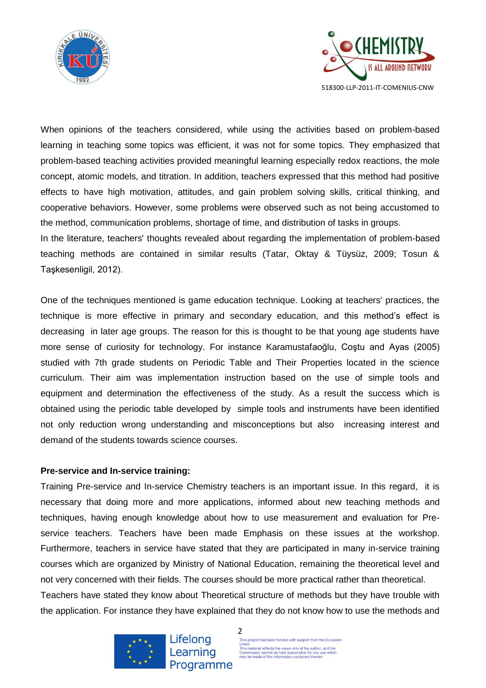



When opinions of the teachers considered, while using the activities based on problem-based learning in teaching some topics was efficient, it was not for some topics. They emphasized that problem-based teaching activities provided meaningful learning especially redox reactions, the mole concept, atomic models, and titration. In addition, teachers expressed that this method had positive effects to have high motivation, attitudes, and gain problem solving skills, critical thinking, and cooperative behaviors. However, some problems were observed such as not being accustomed to the method, communication problems, shortage of time, and distribution of tasks in groups.

In the literature, teachers' thoughts revealed about regarding the implementation of problem-based teaching methods are contained in similar results (Tatar, Oktay & Tüysüz, 2009; Tosun & Taşkesenligil, 2012).

One of the techniques mentioned is game education technique. Looking at teachers' practices, the technique is more effective in primary and secondary education, and this method's effect is decreasing in later age groups. The reason for this is thought to be that young age students have more sense of curiosity for technology. For instance Karamustafaoğlu, Coştu and Ayas (2005) studied with 7th grade students on Periodic Table and Their Properties located in the science curriculum. Their aim was implementation instruction based on the use of simple tools and equipment and determination the effectiveness of the study. As a result the success which is obtained using the periodic table developed by simple tools and instruments have been identified not only reduction wrong understanding and misconceptions but also increasing interest and demand of the students towards science courses.

#### **Pre-service and In-service training:**

Training Pre-service and In-service Chemistry teachers is an important issue. In this regard, it is necessary that doing more and more applications, informed about new teaching methods and techniques, having enough knowledge about how to use measurement and evaluation for Preservice teachers. Teachers have been made Emphasis on these issues at the workshop. Furthermore, teachers in service have stated that they are participated in many in-service training courses which are organized by Ministry of National Education, remaining the theoretical level and not very concerned with their fields. The courses should be more practical rather than theoretical. Teachers have stated they know about Theoretical structure of methods but they have trouble with the application. For instance they have explained that they do not know how to use the methods and



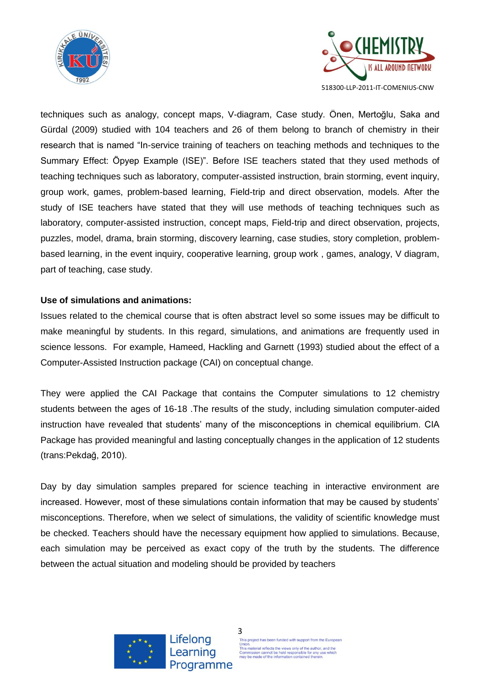



techniques such as analogy, concept maps, V-diagram, Case study. Önen, Mertoğlu, Saka and Gürdal (2009) studied with 104 teachers and 26 of them belong to branch of chemistry in their research that is named "In-service training of teachers on teaching methods and techniques to the Summary Effect: Öpyep Example (ISE)". Before ISE teachers stated that they used methods of teaching techniques such as laboratory, computer-assisted instruction, brain storming, event inquiry, group work, games, problem-based learning, Field-trip and direct observation, models. After the study of ISE teachers have stated that they will use methods of teaching techniques such as laboratory, computer-assisted instruction, concept maps, Field-trip and direct observation, projects, puzzles, model, drama, brain storming, discovery learning, case studies, story completion, problembased learning, in the event inquiry, cooperative learning, group work , games, analogy, V diagram, part of teaching, case study.

### **Use of simulations and animations:**

Issues related to the chemical course that is often abstract level so some issues may be difficult to make meaningful by students. In this regard, simulations, and animations are frequently used in science lessons. For example, Hameed, Hackling and Garnett (1993) studied about the effect of a Computer-Assisted Instruction package (CAI) on conceptual change.

They were applied the CAI Package that contains the Computer simulations to 12 chemistry students between the ages of 16-18 .The results of the study, including simulation computer-aided instruction have revealed that students' many of the misconceptions in chemical equilibrium. CIA Package has provided meaningful and lasting conceptually changes in the application of 12 students (trans:Pekdağ, 2010).

Day by day simulation samples prepared for science teaching in interactive environment are increased. However, most of these simulations contain information that may be caused by students' misconceptions. Therefore, when we select of simulations, the validity of scientific knowledge must be checked. Teachers should have the necessary equipment how applied to simulations. Because, each simulation may be perceived as exact copy of the truth by the students. The difference between the actual situation and modeling should be provided by teachers